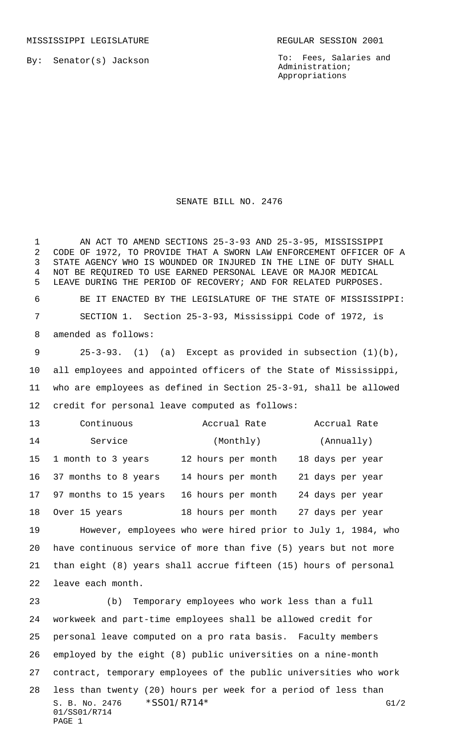MISSISSIPPI LEGISLATURE **REGULAR SESSION 2001** 

By: Senator(s) Jackson

To: Fees, Salaries and Administration; Appropriations

SENATE BILL NO. 2476

AN ACT TO AMEND SECTIONS 25-3-93 AND 25-3-95, MISSISSIPPI

S. B. No. 2476 \* SS01/R714\* G1/2 01/SS01/R714 PAGE 1 CODE OF 1972, TO PROVIDE THAT A SWORN LAW ENFORCEMENT OFFICER OF A STATE AGENCY WHO IS WOUNDED OR INJURED IN THE LINE OF DUTY SHALL NOT BE REQUIRED TO USE EARNED PERSONAL LEAVE OR MAJOR MEDICAL LEAVE DURING THE PERIOD OF RECOVERY; AND FOR RELATED PURPOSES. BE IT ENACTED BY THE LEGISLATURE OF THE STATE OF MISSISSIPPI: SECTION 1. Section 25-3-93, Mississippi Code of 1972, is amended as follows: 25-3-93. (1) (a) Except as provided in subsection (1)(b), all employees and appointed officers of the State of Mississippi, who are employees as defined in Section 25-3-91, shall be allowed credit for personal leave computed as follows: Continuous Accrual Rate Accrual Rate 14 Service (Monthly) (Annually) 1 month to 3 years 12 hours per month 18 days per year 37 months to 8 years 14 hours per month 21 days per year 97 months to 15 years 16 hours per month 24 days per year Over 15 years 18 hours per month 27 days per year However, employees who were hired prior to July 1, 1984, who have continuous service of more than five (5) years but not more than eight (8) years shall accrue fifteen (15) hours of personal leave each month. (b) Temporary employees who work less than a full workweek and part-time employees shall be allowed credit for personal leave computed on a pro rata basis. Faculty members employed by the eight (8) public universities on a nine-month contract, temporary employees of the public universities who work less than twenty (20) hours per week for a period of less than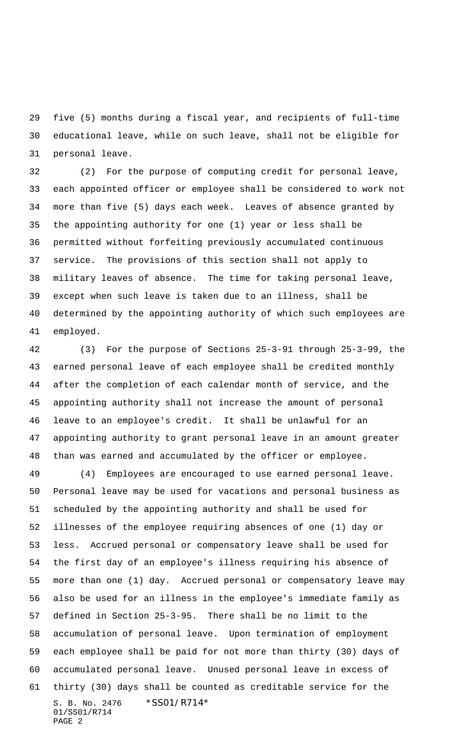five (5) months during a fiscal year, and recipients of full-time educational leave, while on such leave, shall not be eligible for personal leave.

 (2) For the purpose of computing credit for personal leave, each appointed officer or employee shall be considered to work not more than five (5) days each week. Leaves of absence granted by the appointing authority for one (1) year or less shall be permitted without forfeiting previously accumulated continuous service. The provisions of this section shall not apply to military leaves of absence. The time for taking personal leave, except when such leave is taken due to an illness, shall be determined by the appointing authority of which such employees are employed.

 (3) For the purpose of Sections 25-3-91 through 25-3-99, the earned personal leave of each employee shall be credited monthly after the completion of each calendar month of service, and the appointing authority shall not increase the amount of personal leave to an employee's credit. It shall be unlawful for an appointing authority to grant personal leave in an amount greater than was earned and accumulated by the officer or employee.

S. B. No. 2476 \*SS01/R714\* 01/SS01/R714 PAGE 2 (4) Employees are encouraged to use earned personal leave. Personal leave may be used for vacations and personal business as scheduled by the appointing authority and shall be used for illnesses of the employee requiring absences of one (1) day or less. Accrued personal or compensatory leave shall be used for the first day of an employee's illness requiring his absence of more than one (1) day. Accrued personal or compensatory leave may also be used for an illness in the employee's immediate family as defined in Section 25-3-95. There shall be no limit to the accumulation of personal leave. Upon termination of employment each employee shall be paid for not more than thirty (30) days of accumulated personal leave. Unused personal leave in excess of thirty (30) days shall be counted as creditable service for the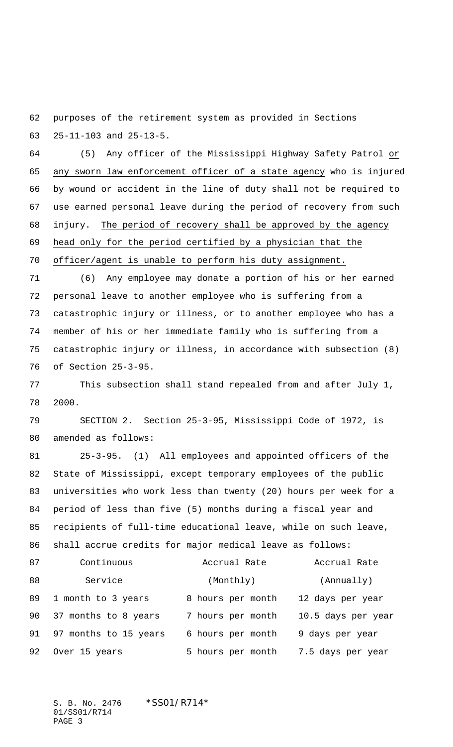purposes of the retirement system as provided in Sections 25-11-103 and 25-13-5.

 (5) Any officer of the Mississippi Highway Safety Patrol or 65 any sworn law enforcement officer of a state agency who is injured by wound or accident in the line of duty shall not be required to use earned personal leave during the period of recovery from such injury. The period of recovery shall be approved by the agency head only for the period certified by a physician that the

officer/agent is unable to perform his duty assignment.

 (6) Any employee may donate a portion of his or her earned personal leave to another employee who is suffering from a catastrophic injury or illness, or to another employee who has a member of his or her immediate family who is suffering from a catastrophic injury or illness, in accordance with subsection (8) of Section 25-3-95.

 This subsection shall stand repealed from and after July 1, 2000.

 SECTION 2. Section 25-3-95, Mississippi Code of 1972, is amended as follows:

 25-3-95. (1) All employees and appointed officers of the State of Mississippi, except temporary employees of the public universities who work less than twenty (20) hours per week for a period of less than five (5) months during a fiscal year and recipients of full-time educational leave, while on such leave, shall accrue credits for major medical leave as follows:

| 87 | Continuous            | Accrual Rate      | Accrual Rate       |
|----|-----------------------|-------------------|--------------------|
| 88 | Service               | (Monthly)         | (Annually)         |
| 89 | 1 month to 3 years    | 8 hours per month | 12 days per year   |
| 90 | 37 months to 8 years  | 7 hours per month | 10.5 days per year |
| 91 | 97 months to 15 years | 6 hours per month | 9 days per year    |
| 92 | Over 15 years         | 5 hours per month | 7.5 days per year  |

S. B. No. 2476 \* SS01/R714\* 01/SS01/R714 PAGE 3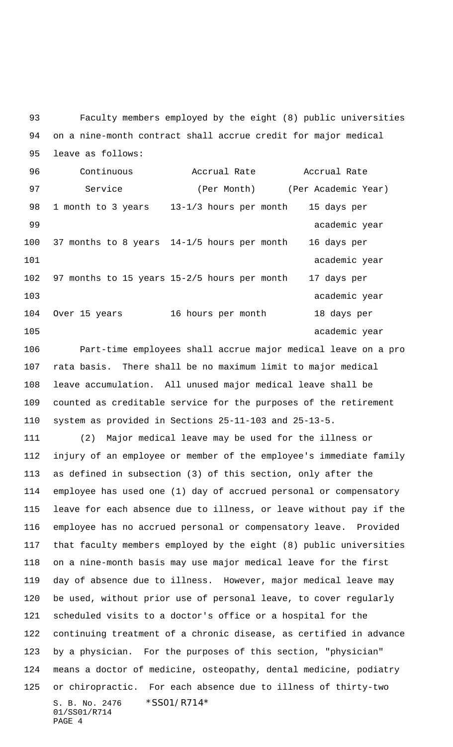Faculty members employed by the eight (8) public universities on a nine-month contract shall accrue credit for major medical leave as follows:

 Continuous Accrual Rate Accrual Rate 97 Service (Per Month) (Per Academic Year) 1 month to 3 years 13-1/3 hours per month 15 days per 99 academic year 37 months to 8 years 14-1/5 hours per month 16 days per 101 academic year 97 months to 15 years 15-2/5 hours per month 17 days per 103 academic year Over 15 years 16 hours per month 18 days per 105 academic year

 Part-time employees shall accrue major medical leave on a pro rata basis. There shall be no maximum limit to major medical leave accumulation. All unused major medical leave shall be counted as creditable service for the purposes of the retirement system as provided in Sections 25-11-103 and 25-13-5.

S. B. No. 2476 \* SS01/R714\* 01/SS01/R714 PAGE 4 (2) Major medical leave may be used for the illness or injury of an employee or member of the employee's immediate family as defined in subsection (3) of this section, only after the employee has used one (1) day of accrued personal or compensatory leave for each absence due to illness, or leave without pay if the employee has no accrued personal or compensatory leave. Provided that faculty members employed by the eight (8) public universities on a nine-month basis may use major medical leave for the first day of absence due to illness. However, major medical leave may be used, without prior use of personal leave, to cover regularly scheduled visits to a doctor's office or a hospital for the continuing treatment of a chronic disease, as certified in advance by a physician. For the purposes of this section, "physician" means a doctor of medicine, osteopathy, dental medicine, podiatry or chiropractic. For each absence due to illness of thirty-two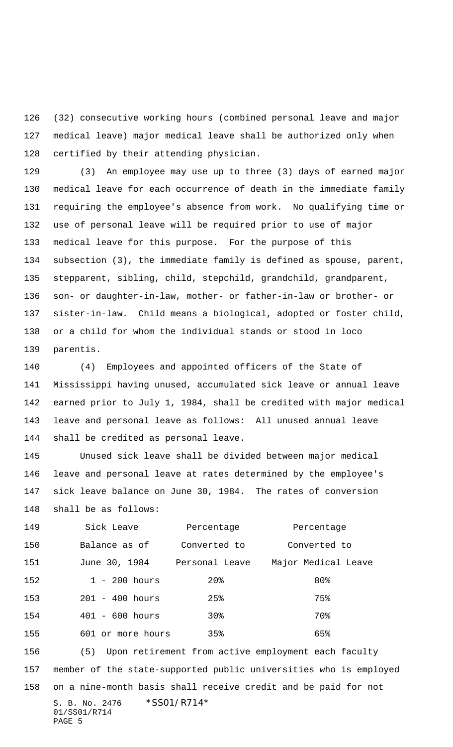(32) consecutive working hours (combined personal leave and major medical leave) major medical leave shall be authorized only when certified by their attending physician.

 (3) An employee may use up to three (3) days of earned major medical leave for each occurrence of death in the immediate family requiring the employee's absence from work. No qualifying time or use of personal leave will be required prior to use of major medical leave for this purpose. For the purpose of this subsection (3), the immediate family is defined as spouse, parent, stepparent, sibling, child, stepchild, grandchild, grandparent, son- or daughter-in-law, mother- or father-in-law or brother- or sister-in-law. Child means a biological, adopted or foster child, or a child for whom the individual stands or stood in loco parentis.

 (4) Employees and appointed officers of the State of Mississippi having unused, accumulated sick leave or annual leave earned prior to July 1, 1984, shall be credited with major medical leave and personal leave as follows: All unused annual leave shall be credited as personal leave.

 Unused sick leave shall be divided between major medical leave and personal leave at rates determined by the employee's sick leave balance on June 30, 1984. The rates of conversion

shall be as follows:

| 149 | Sick Leave        | Percentage     | Percentage          |
|-----|-------------------|----------------|---------------------|
| 150 | Balance as of     | Converted to   | Converted to        |
| 151 | June 30, 1984     | Personal Leave | Major Medical Leave |
| 152 | $1 - 200$ hours   | $20\%$         | 80%                 |
| 153 | $201 - 400$ hours | 25%            | 75%                 |
| 154 | $401 - 600 hours$ | 30%            | 70%                 |
| 155 | 601 or more hours | $35\%$         | 65%                 |

S. B. No. 2476 \* SS01/R714\* (5) Upon retirement from active employment each faculty member of the state-supported public universities who is employed on a nine-month basis shall receive credit and be paid for not

```
01/SS01/R714
PAGE 5
```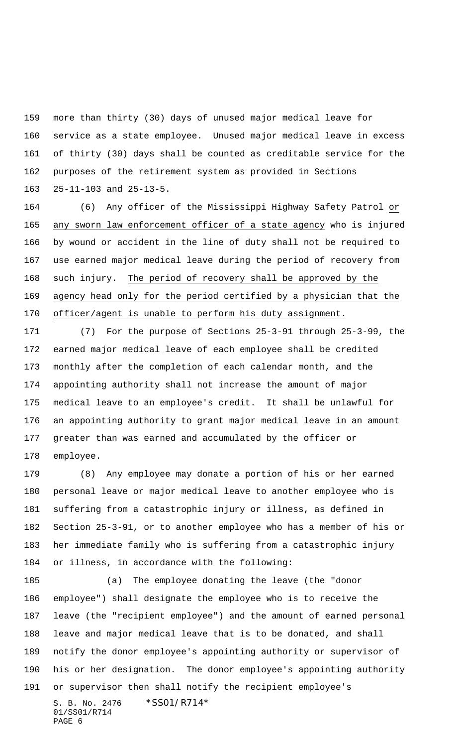more than thirty (30) days of unused major medical leave for service as a state employee. Unused major medical leave in excess of thirty (30) days shall be counted as creditable service for the purposes of the retirement system as provided in Sections 25-11-103 and 25-13-5.

 (6) Any officer of the Mississippi Highway Safety Patrol or any sworn law enforcement officer of a state agency who is injured by wound or accident in the line of duty shall not be required to use earned major medical leave during the period of recovery from such injury. The period of recovery shall be approved by the agency head only for the period certified by a physician that the officer/agent is unable to perform his duty assignment.

 (7) For the purpose of Sections 25-3-91 through 25-3-99, the earned major medical leave of each employee shall be credited monthly after the completion of each calendar month, and the appointing authority shall not increase the amount of major medical leave to an employee's credit. It shall be unlawful for an appointing authority to grant major medical leave in an amount greater than was earned and accumulated by the officer or employee.

 (8) Any employee may donate a portion of his or her earned personal leave or major medical leave to another employee who is suffering from a catastrophic injury or illness, as defined in Section 25-3-91, or to another employee who has a member of his or her immediate family who is suffering from a catastrophic injury or illness, in accordance with the following:

S. B. No. 2476 \*SS01/R714\* 01/SS01/R714 (a) The employee donating the leave (the "donor employee") shall designate the employee who is to receive the leave (the "recipient employee") and the amount of earned personal leave and major medical leave that is to be donated, and shall notify the donor employee's appointing authority or supervisor of his or her designation. The donor employee's appointing authority or supervisor then shall notify the recipient employee's

```
PAGE 6
```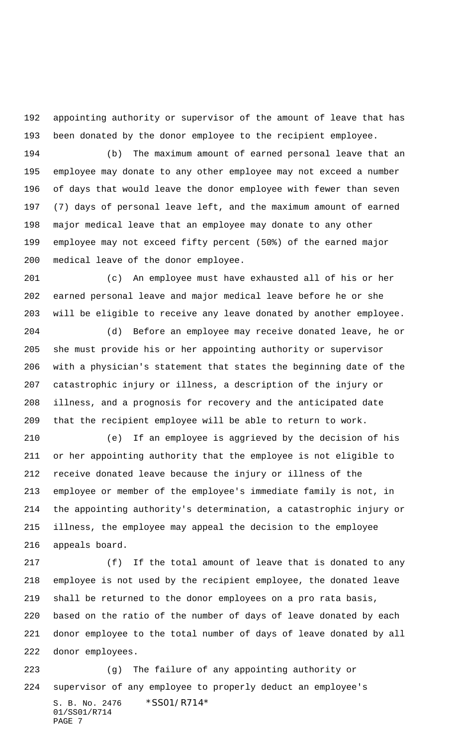appointing authority or supervisor of the amount of leave that has been donated by the donor employee to the recipient employee.

 (b) The maximum amount of earned personal leave that an employee may donate to any other employee may not exceed a number of days that would leave the donor employee with fewer than seven (7) days of personal leave left, and the maximum amount of earned major medical leave that an employee may donate to any other employee may not exceed fifty percent (50%) of the earned major medical leave of the donor employee.

 (c) An employee must have exhausted all of his or her earned personal leave and major medical leave before he or she will be eligible to receive any leave donated by another employee.

 (d) Before an employee may receive donated leave, he or she must provide his or her appointing authority or supervisor with a physician's statement that states the beginning date of the catastrophic injury or illness, a description of the injury or illness, and a prognosis for recovery and the anticipated date that the recipient employee will be able to return to work.

 (e) If an employee is aggrieved by the decision of his or her appointing authority that the employee is not eligible to receive donated leave because the injury or illness of the employee or member of the employee's immediate family is not, in the appointing authority's determination, a catastrophic injury or illness, the employee may appeal the decision to the employee appeals board.

 (f) If the total amount of leave that is donated to any employee is not used by the recipient employee, the donated leave shall be returned to the donor employees on a pro rata basis, based on the ratio of the number of days of leave donated by each donor employee to the total number of days of leave donated by all donor employees.

S. B. No. 2476 \* SS01/R714\* 01/SS01/R714 PAGE 7 (g) The failure of any appointing authority or supervisor of any employee to properly deduct an employee's